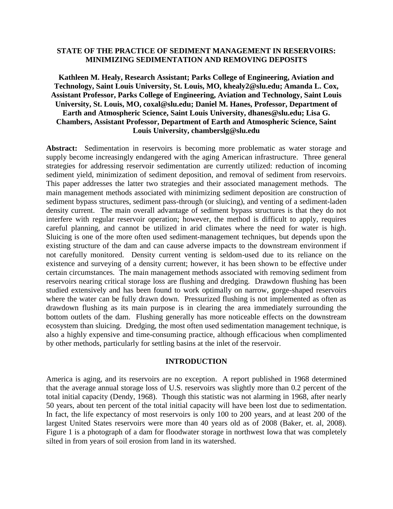## **STATE OF THE PRACTICE OF SEDIMENT MANAGEMENT IN RESERVOIRS: MINIMIZING SEDIMENTATION AND REMOVING DEPOSITS**

## **Kathleen M. Healy, Research Assistant; Parks College of Engineering, Aviation and Technology, Saint Louis University, St. Louis, MO, khealy2@slu.edu; Amanda L. Cox, Assistant Professor, Parks College of Engineering, Aviation and Technology, Saint Louis University, St. Louis, MO, coxal@slu.edu; Daniel M. Hanes, Professor, Department of Earth and Atmospheric Science, Saint Louis University, dhanes@slu.edu; Lisa G. Chambers, Assistant Professor, Department of Earth and Atmospheric Science, Saint Louis University, chamberslg@slu.edu**

**Abstract:** Sedimentation in reservoirs is becoming more problematic as water storage and supply become increasingly endangered with the aging American infrastructure. Three general strategies for addressing reservoir sedimentation are currently utilized: reduction of incoming sediment yield, minimization of sediment deposition, and removal of sediment from reservoirs. This paper addresses the latter two strategies and their associated management methods. The main management methods associated with minimizing sediment deposition are construction of sediment bypass structures, sediment pass-through (or sluicing), and venting of a sediment-laden density current. The main overall advantage of sediment bypass structures is that they do not interfere with regular reservoir operation; however, the method is difficult to apply, requires careful planning, and cannot be utilized in arid climates where the need for water is high. Sluicing is one of the more often used sediment-management techniques, but depends upon the existing structure of the dam and can cause adverse impacts to the downstream environment if not carefully monitored. Density current venting is seldom-used due to its reliance on the existence and surveying of a density current; however, it has been shown to be effective under certain circumstances. The main management methods associated with removing sediment from reservoirs nearing critical storage loss are flushing and dredging. Drawdown flushing has been studied extensively and has been found to work optimally on narrow, gorge-shaped reservoirs where the water can be fully drawn down. Pressurized flushing is not implemented as often as drawdown flushing as its main purpose is in clearing the area immediately surrounding the bottom outlets of the dam. Flushing generally has more noticeable effects on the downstream ecosystem than sluicing. Dredging, the most often used sedimentation management technique, is also a highly expensive and time-consuming practice, although efficacious when complimented by other methods, particularly for settling basins at the inlet of the reservoir.

### **INTRODUCTION**

America is aging, and its reservoirs are no exception. A report published in 1968 determined that the average annual storage loss of U.S. reservoirs was slightly more than 0.2 percent of the total initial capacity (Dendy, 1968). Though this statistic was not alarming in 1968, after nearly 50 years, about ten percent of the total initial capacity will have been lost due to sedimentation. In fact, the life expectancy of most reservoirs is only 100 to 200 years, and at least 200 of the largest United States reservoirs were more than 40 years old as of 2008 (Baker, et. al, 2008). Figure 1 is a photograph of a dam for floodwater storage in northwest Iowa that was completely silted in from years of soil erosion from land in its watershed.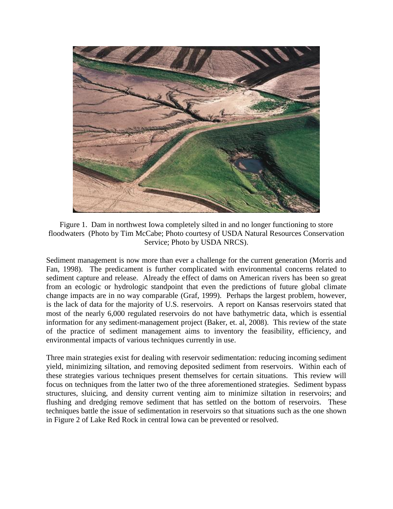

Figure 1. Dam in northwest Iowa completely silted in and no longer functioning to store floodwaters (Photo by Tim McCabe; Photo courtesy of USDA Natural Resources Conservation Service; Photo by USDA NRCS).

Sediment management is now more than ever a challenge for the current generation (Morris and Fan, 1998). The predicament is further complicated with environmental concerns related to sediment capture and release. Already the effect of dams on American rivers has been so great from an ecologic or hydrologic standpoint that even the predictions of future global climate change impacts are in no way comparable (Graf, 1999). Perhaps the largest problem, however, is the lack of data for the majority of U.S. reservoirs. A report on Kansas reservoirs stated that most of the nearly 6,000 regulated reservoirs do not have bathymetric data, which is essential information for any sediment-management project (Baker, et. al, 2008). This review of the state of the practice of sediment management aims to inventory the feasibility, efficiency, and environmental impacts of various techniques currently in use.

Three main strategies exist for dealing with reservoir sedimentation: reducing incoming sediment yield, minimizing siltation, and removing deposited sediment from reservoirs. Within each of these strategies various techniques present themselves for certain situations. This review will focus on techniques from the latter two of the three aforementioned strategies. Sediment bypass structures, sluicing, and density current venting aim to minimize siltation in reservoirs; and flushing and dredging remove sediment that has settled on the bottom of reservoirs. These techniques battle the issue of sedimentation in reservoirs so that situations such as the one shown in Figure 2 of Lake Red Rock in central Iowa can be prevented or resolved.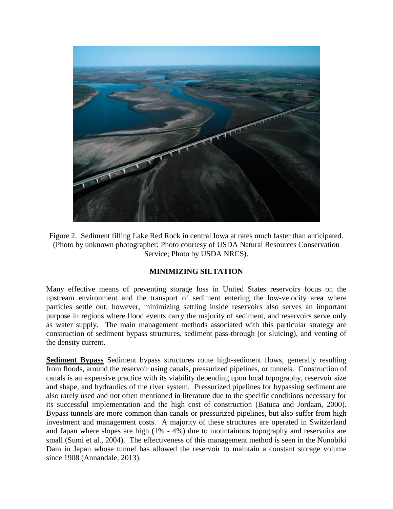

Figure 2. Sediment filling Lake Red Rock in central Iowa at rates much faster than anticipated. (Photo by unknown photographer; Photo courtesy of USDA Natural Resources Conservation Service; Photo by USDA NRCS).

# **MINIMIZING SILTATION**

Many effective means of preventing storage loss in United States reservoirs focus on the upstream environment and the transport of sediment entering the low-velocity area where particles settle out; however, minimizing settling inside reservoirs also serves an important purpose in regions where flood events carry the majority of sediment, and reservoirs serve only as water supply. The main management methods associated with this particular strategy are construction of sediment bypass structures, sediment pass-through (or sluicing), and venting of the density current.

**Sediment Bypass** Sediment bypass structures route high-sediment flows, generally resulting from floods, around the reservoir using canals, pressurized pipelines, or tunnels. Construction of canals is an expensive practice with its viability depending upon local topography, reservoir size and shape, and hydraulics of the river system. Pressurized pipelines for bypassing sediment are also rarely used and not often mentioned in literature due to the specific conditions necessary for its successful implementation and the high cost of construction (Batuca and Jordaan, 2000). Bypass tunnels are more common than canals or pressurized pipelines, but also suffer from high investment and management costs. A majority of these structures are operated in Switzerland and Japan where slopes are high (1% - 4%) due to mountainous topography and reservoirs are small (Sumi et al., 2004). The effectiveness of this management method is seen in the Nunobiki Dam in Japan whose tunnel has allowed the reservoir to maintain a constant storage volume since 1908 (Annandale, 2013).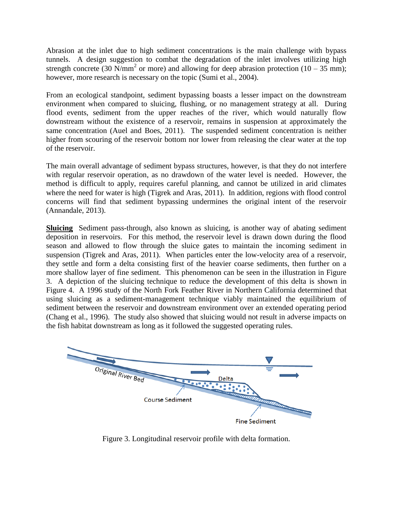Abrasion at the inlet due to high sediment concentrations is the main challenge with bypass tunnels. A design suggestion to combat the degradation of the inlet involves utilizing high strength concrete (30 N/mm<sup>2</sup> or more) and allowing for deep abrasion protection (10 – 35 mm); however, more research is necessary on the topic (Sumi et al., 2004).

From an ecological standpoint, sediment bypassing boasts a lesser impact on the downstream environment when compared to sluicing, flushing, or no management strategy at all. During flood events, sediment from the upper reaches of the river, which would naturally flow downstream without the existence of a reservoir, remains in suspension at approximately the same concentration (Auel and Boes, 2011). The suspended sediment concentration is neither higher from scouring of the reservoir bottom nor lower from releasing the clear water at the top of the reservoir.

The main overall advantage of sediment bypass structures, however, is that they do not interfere with regular reservoir operation, as no drawdown of the water level is needed. However, the method is difficult to apply, requires careful planning, and cannot be utilized in arid climates where the need for water is high (Tigrek and Aras, 2011). In addition, regions with flood control concerns will find that sediment bypassing undermines the original intent of the reservoir (Annandale, 2013).

**Sluicing** Sediment pass-through, also known as sluicing, is another way of abating sediment deposition in reservoirs. For this method, the reservoir level is drawn down during the flood season and allowed to flow through the sluice gates to maintain the incoming sediment in suspension (Tigrek and Aras, 2011). When particles enter the low-velocity area of a reservoir, they settle and form a delta consisting first of the heavier coarse sediments, then further on a more shallow layer of fine sediment. This phenomenon can be seen in the illustration in Figure 3. A depiction of the sluicing technique to reduce the development of this delta is shown in Figure 4. A 1996 study of the North Fork Feather River in Northern California determined that using sluicing as a sediment-management technique viably maintained the equilibrium of sediment between the reservoir and downstream environment over an extended operating period (Chang et al., 1996). The study also showed that sluicing would not result in adverse impacts on the fish habitat downstream as long as it followed the suggested operating rules.



Figure 3. Longitudinal reservoir profile with delta formation.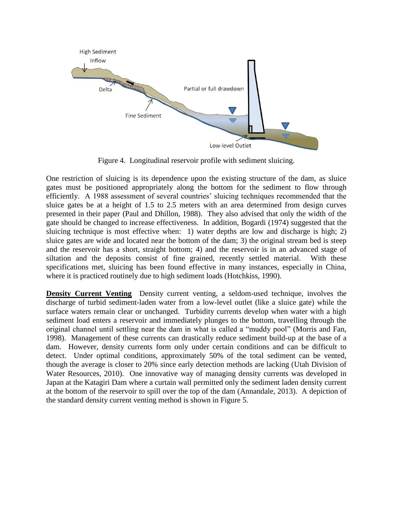

Figure 4. Longitudinal reservoir profile with sediment sluicing.

One restriction of sluicing is its dependence upon the existing structure of the dam, as sluice gates must be positioned appropriately along the bottom for the sediment to flow through efficiently. A 1988 assessment of several countries' sluicing techniques recommended that the sluice gates be at a height of 1.5 to 2.5 meters with an area determined from design curves presented in their paper (Paul and Dhillon, 1988). They also advised that only the width of the gate should be changed to increase effectiveness. In addition, Bogardi (1974) suggested that the sluicing technique is most effective when: 1) water depths are low and discharge is high; 2) sluice gates are wide and located near the bottom of the dam; 3) the original stream bed is steep and the reservoir has a short, straight bottom; 4) and the reservoir is in an advanced stage of siltation and the deposits consist of fine grained, recently settled material. With these specifications met, sluicing has been found effective in many instances, especially in China, where it is practiced routinely due to high sediment loads (Hotchkiss, 1990).

**Density Current Venting** Density current venting, a seldom-used technique, involves the discharge of turbid sediment-laden water from a low-level outlet (like a sluice gate) while the surface waters remain clear or unchanged. Turbidity currents develop when water with a high sediment load enters a reservoir and immediately plunges to the bottom, travelling through the original channel until settling near the dam in what is called a "muddy pool" (Morris and Fan, 1998). Management of these currents can drastically reduce sediment build-up at the base of a dam. However, density currents form only under certain conditions and can be difficult to detect. Under optimal conditions, approximately 50% of the total sediment can be vented, though the average is closer to 20% since early detection methods are lacking (Utah Division of Water Resources, 2010). One innovative way of managing density currents was developed in Japan at the Katagiri Dam where a curtain wall permitted only the sediment laden density current at the bottom of the reservoir to spill over the top of the dam (Annandale, 2013). A depiction of the standard density current venting method is shown in Figure 5.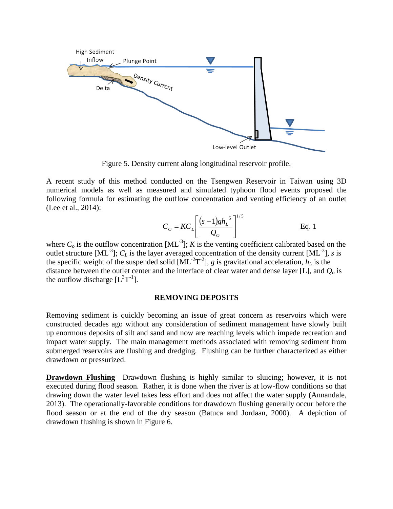

Figure 5. Density current along longitudinal reservoir profile.

A recent study of this method conducted on the Tsengwen Reservoir in Taiwan using 3D numerical models as well as measured and simulated typhoon flood events proposed the following formula for estimating the outflow concentration and venting efficiency of an outlet (Lee et al., 2014):

$$
C_O = KC_L \left[ \frac{(s-1)gh_L^{5}}{Q_O} \right]^{1/5}
$$
 Eq. 1

where  $C_o$  is the outflow concentration  $[ML^{-3}]$ ; *K* is the venting coefficient calibrated based on the outlet structure  $[ML^{-3}]$ ;  $C_L$  is the layer averaged concentration of the density current  $[ML^{-3}]$ , *s* is the specific weight of the suspended solid  $[ML^{-2}T^{-2}]$ , *g* is gravitational acceleration,  $h_L$  is the distance between the outlet center and the interface of clear water and dense layer [L], and *Q<sup>o</sup>* is the outflow discharge  $[L^3T^{-1}]$ .

#### **REMOVING DEPOSITS**

Removing sediment is quickly becoming an issue of great concern as reservoirs which were constructed decades ago without any consideration of sediment management have slowly built up enormous deposits of silt and sand and now are reaching levels which impede recreation and impact water supply. The main management methods associated with removing sediment from submerged reservoirs are flushing and dredging. Flushing can be further characterized as either drawdown or pressurized.

**Drawdown Flushing** Drawdown flushing is highly similar to sluicing; however, it is not executed during flood season. Rather, it is done when the river is at low-flow conditions so that drawing down the water level takes less effort and does not affect the water supply (Annandale, 2013). The operationally-favorable conditions for drawdown flushing generally occur before the flood season or at the end of the dry season (Batuca and Jordaan, 2000). A depiction of drawdown flushing is shown in Figure 6.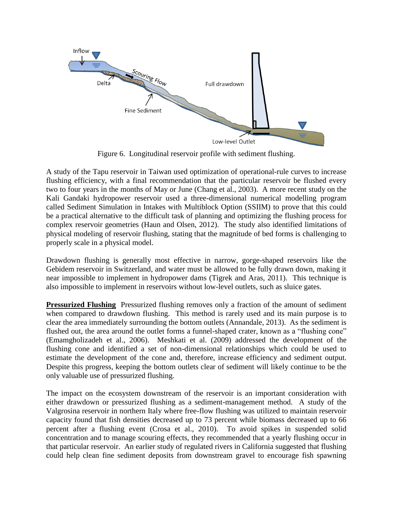

Figure 6. Longitudinal reservoir profile with sediment flushing.

A study of the Tapu reservoir in Taiwan used optimization of operational-rule curves to increase flushing efficiency, with a final recommendation that the particular reservoir be flushed every two to four years in the months of May or June (Chang et al., 2003). A more recent study on the Kali Gandaki hydropower reservoir used a three-dimensional numerical modelling program called Sediment Simulation in Intakes with Multiblock Option (SSIIM) to prove that this could be a practical alternative to the difficult task of planning and optimizing the flushing process for complex reservoir geometries (Haun and Olsen, 2012). The study also identified limitations of physical modeling of reservoir flushing, stating that the magnitude of bed forms is challenging to properly scale in a physical model.

Drawdown flushing is generally most effective in narrow, gorge-shaped reservoirs like the Gebidem reservoir in Switzerland, and water must be allowed to be fully drawn down, making it near impossible to implement in hydropower dams (Tigrek and Aras, 2011). This technique is also impossible to implement in reservoirs without low-level outlets, such as sluice gates.

**Pressurized Flushing** Pressurized flushing removes only a fraction of the amount of sediment when compared to drawdown flushing. This method is rarely used and its main purpose is to clear the area immediately surrounding the bottom outlets (Annandale, 2013). As the sediment is flushed out, the area around the outlet forms a funnel-shaped crater, known as a "flushing cone" (Emamgholizadeh et al., 2006). Meshkati et al. (2009) addressed the development of the flushing cone and identified a set of non-dimensional relationships which could be used to estimate the development of the cone and, therefore, increase efficiency and sediment output. Despite this progress, keeping the bottom outlets clear of sediment will likely continue to be the only valuable use of pressurized flushing.

The impact on the ecosystem downstream of the reservoir is an important consideration with either drawdown or pressurized flushing as a sediment-management method. A study of the Valgrosina reservoir in northern Italy where free-flow flushing was utilized to maintain reservoir capacity found that fish densities decreased up to 73 percent while biomass decreased up to 66 percent after a flushing event (Crosa et al., 2010). To avoid spikes in suspended solid concentration and to manage scouring effects, they recommended that a yearly flushing occur in that particular reservoir. An earlier study of regulated rivers in California suggested that flushing could help clean fine sediment deposits from downstream gravel to encourage fish spawning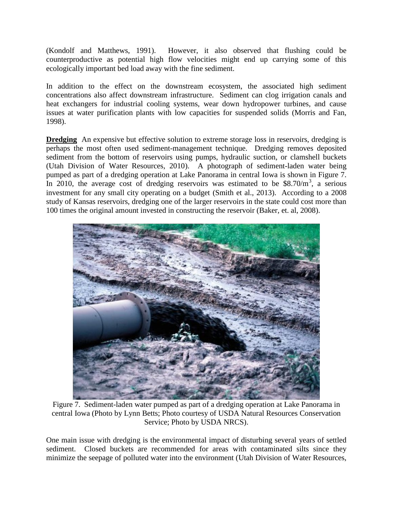(Kondolf and Matthews, 1991). However, it also observed that flushing could be counterproductive as potential high flow velocities might end up carrying some of this ecologically important bed load away with the fine sediment.

In addition to the effect on the downstream ecosystem, the associated high sediment concentrations also affect downstream infrastructure. Sediment can clog irrigation canals and heat exchangers for industrial cooling systems, wear down hydropower turbines, and cause issues at water purification plants with low capacities for suspended solids (Morris and Fan, 1998).

**Dredging** An expensive but effective solution to extreme storage loss in reservoirs, dredging is perhaps the most often used sediment-management technique. Dredging removes deposited sediment from the bottom of reservoirs using pumps, hydraulic suction, or clamshell buckets (Utah Division of Water Resources, 2010). A photograph of sediment-laden water being pumped as part of a dredging operation at Lake Panorama in central Iowa is shown in Figure 7. In 2010, the average cost of dredging reservoirs was estimated to be  $$8.70/m<sup>3</sup>$ , a serious investment for any small city operating on a budget (Smith et al., 2013). According to a 2008 study of Kansas reservoirs, dredging one of the larger reservoirs in the state could cost more than 100 times the original amount invested in constructing the reservoir (Baker, et. al, 2008).



Figure 7. Sediment-laden water pumped as part of a dredging operation at Lake Panorama in central Iowa (Photo by Lynn Betts; Photo courtesy of USDA Natural Resources Conservation Service; Photo by USDA NRCS).

One main issue with dredging is the environmental impact of disturbing several years of settled sediment. Closed buckets are recommended for areas with contaminated silts since they minimize the seepage of polluted water into the environment (Utah Division of Water Resources,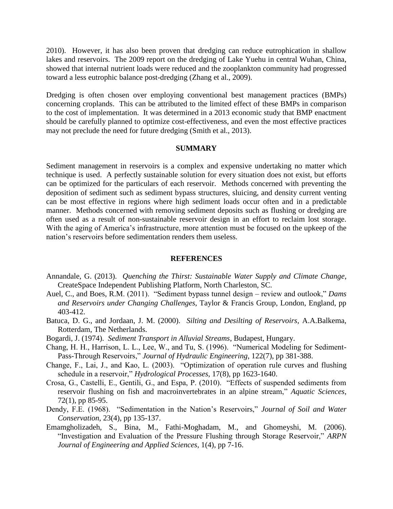2010). However, it has also been proven that dredging can reduce eutrophication in shallow lakes and reservoirs. The 2009 report on the dredging of Lake Yuehu in central Wuhan, China, showed that internal nutrient loads were reduced and the zooplankton community had progressed toward a less eutrophic balance post-dredging (Zhang et al., 2009).

Dredging is often chosen over employing conventional best management practices (BMPs) concerning croplands. This can be attributed to the limited effect of these BMPs in comparison to the cost of implementation. It was determined in a 2013 economic study that BMP enactment should be carefully planned to optimize cost-effectiveness, and even the most effective practices may not preclude the need for future dredging (Smith et al., 2013).

### **SUMMARY**

Sediment management in reservoirs is a complex and expensive undertaking no matter which technique is used. A perfectly sustainable solution for every situation does not exist, but efforts can be optimized for the particulars of each reservoir. Methods concerned with preventing the deposition of sediment such as sediment bypass structures, sluicing, and density current venting can be most effective in regions where high sediment loads occur often and in a predictable manner. Methods concerned with removing sediment deposits such as flushing or dredging are often used as a result of non-sustainable reservoir design in an effort to reclaim lost storage. With the aging of America's infrastructure, more attention must be focused on the upkeep of the nation's reservoirs before sedimentation renders them useless.

#### **REFERENCES**

- Annandale, G. (2013). *Quenching the Thirst: Sustainable Water Supply and Climate Change*, CreateSpace Independent Publishing Platform, North Charleston, SC.
- Auel, C., and Boes, R.M. (2011). "Sediment bypass tunnel design review and outlook," *Dams and Reservoirs under Changing Challenges*, Taylor & Francis Group, London, England, pp 403-412.
- Batuca, D. G., and Jordaan, J. M. (2000). *Silting and Desilting of Reservoirs*, A.A.Balkema, Rotterdam, The Netherlands.
- Bogardi, J. (1974). *Sediment Transport in Alluvial Streams*, Budapest, Hungary.
- Chang, H. H., Harrison, L. L., Lee, W., and Tu, S. (1996). "Numerical Modeling for Sediment-Pass-Through Reservoirs," *Journal of Hydraulic Engineering*, 122(7), pp 381-388.
- Change, F., Lai, J., and Kao, L. (2003). "Optimization of operation rule curves and flushing schedule in a reservoir," *Hydrological Processes*, 17(8), pp 1623-1640.
- Crosa, G., Castelli, E., Gentili, G., and Espa, P. (2010). "Effects of suspended sediments from reservoir flushing on fish and macroinvertebrates in an alpine stream," *Aquatic Sciences*, 72(1), pp 85-95.
- Dendy, F.E. (1968). "Sedimentation in the Nation's Reservoirs," *Journal of Soil and Water Conservation*, 23(4), pp 135-137.
- Emamgholizadeh, S., Bina, M., Fathi-Moghadam, M., and Ghomeyshi, M. (2006). "Investigation and Evaluation of the Pressure Flushing through Storage Reservoir," *ARPN Journal of Engineering and Applied Sciences*, 1(4), pp 7-16.